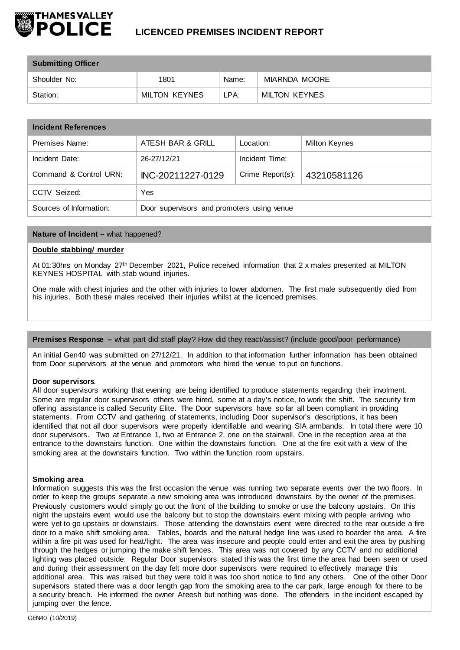

| <b>Submitting Officer</b> |                      |       |               |  |  |
|---------------------------|----------------------|-------|---------------|--|--|
| Shoulder No:              | 1801                 | Name: | MIARNDA MOORE |  |  |
| Station:                  | <b>MILTON KEYNES</b> | LPA:  | MILTON KEYNES |  |  |

| <b>Incident References</b> |                                            |                  |                      |  |  |
|----------------------------|--------------------------------------------|------------------|----------------------|--|--|
| Premises Name:             | ATESH BAR & GRILL                          | Location:        | <b>Milton Keynes</b> |  |  |
| Incident Date:             | 26-27/12/21                                | Incident Time:   |                      |  |  |
| Command & Control URN:     | INC-20211227-0129                          | Crime Report(s): | 43210581126          |  |  |
| CCTV Seized:               | Yes                                        |                  |                      |  |  |
| Sources of Information:    | Door supervisors and promoters using venue |                  |                      |  |  |

## **Nature of Incident –** what happened?

## **Double stabbing/ murder**

At 01:30hrs on Monday 27th December 2021, Police received information that 2 x males presented at MILTON KEYNES HOSPITAL with stab wound injuries.

One male with chest injuries and the other with injuries to lower abdomen. The first male subsequently died from his injuries. Both these males received their injuries whilst at the licenced premises.

# **Premises Response –** what part did staff play? How did they react/assist? (include good/poor performance)

An initial Gen40 was submitted on 27/12/21. In addition to that information further information has been obtained from Door supervisors at the venue and promotors who hired the venue to put on functions.

#### **Door supervisors**.

All door supervisors working that evening are being identified to produce statements regarding their involment. Some are regular door supervisors others were hired, some at a day's notice, to work the shift. The security firm offering assistance is called Security Elite. The Door supervisors have so far all been compliant in providing statements. From CCTV and gathering of statements, including Door supervisor's descriptions, it has been identified that not all door supervisors were properly identifiable and wearing SIA armbands. In total there were 10 door supervisors. Two at Entrance 1, two at Entrance 2, one on the stairwell. One in the reception area at the entrance to the downstairs function. One within the downstairs function. One at the fire exit with a view of the smoking area at the downstairs function. Two within the function room upstairs.

## **Smoking area**

Information suggests this was the first occasion the venue was running two separate events over the two floors. In order to keep the groups separate a new smoking area was introduced downstairs by the owner of the premises. Previously customers would simply go out the front of the building to smoke or use the balcony upstairs. On this night the upstairs event would use the balcony but to stop the downstairs event mixing with people arriving who were yet to go upstairs or downstairs. Those attending the downstairs event were directed to the rear outside a fire door to a make shift smoking area. Tables, boards and the natural hedge line was used to boarder the area. A fire within a fire pit was used for heat/light. The area was insecure and people could enter and exit the area by pushing through the hedges or jumping the make shift fences. This area was not covered by any CCTV and no additional lighting was placed outside. Regular Door supervisors stated this was the first time the area had been seen or used and during their assessment on the day felt more door supervisors were required to effectively manage this additional area. This was raised but they were told it was too short notice to find any others. One of the other Door supervisors stated there was a door length gap from the smoking area to the car park, large enough for there to be a security breach. He informed the owner Ateesh but nothing was done. The offenders in the incident escaped by jumping over the fence.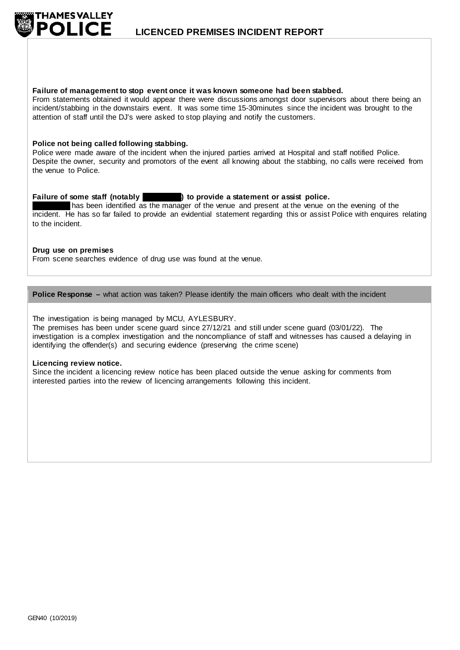

#### **Failure of management to stop event once it was known someone had been stabbed.**

From statements obtained it would appear there were discussions amongst door supervisors about there being an incident/stabbing in the downstairs event. It was some time 15-30minutes since the incident was brought to the attention of staff until the DJ's were asked to stop playing and notify the customers.

## **Police not being called following stabbing.**

Police were made aware of the incident when the injured parties arrived at Hospital and staff notified Police. Despite the owner, security and promotors of the event all knowing about the stabbing, no calls were received from the venue to Police.

## **Failure of some staff (notably State Ates) to provide a statement or assist police.**

has been identified as the manager of the venue and present at the venue on the evening of the incident. He has so far failed to provide an evidential statement regarding this or assist Police with enquires relating to the incident.

## **Drug use on premises**

From scene searches evidence of drug use was found at the venue.

## **Police Response –** what action was taken? Please identify the main officers who dealt with the incident

The investigation is being managed by MCU, AYLESBURY.

The premises has been under scene guard since 27/12/21 and still under scene guard (03/01/22). The investigation is a complex investigation and the noncompliance of staff and witnesses has caused a delaying in identifying the offender(s) and securing evidence (preserving the crime scene)

#### **Licencing review notice.**

Since the incident a licencing review notice has been placed outside the venue asking for comments from interested parties into the review of licencing arrangements following this incident.